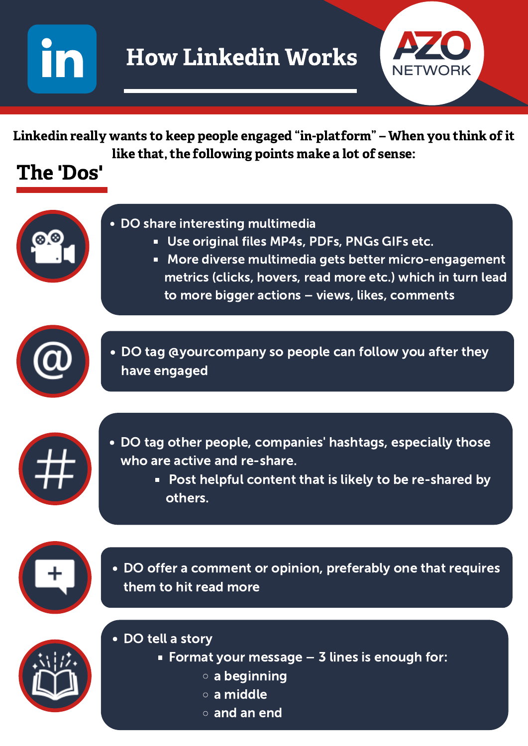

## The 'Dos'



Linkedin really wants to keep people engaged "in-platform " – When you think of it like that, the following points make a lot of sense:

#### DO share interesting multimedia

- Use original files MP4s, PDFs, PNGs GIFs etc.
- More diverse multimedia gets better micro-engagement  $\Box$ metrics (clicks, hovers, read more etc.) which in turn lead to more bigger actions – views, likes, comments



DO tag @yourcompany so people can follow you after they have engaged



DO tag other people, companies' hashtags, especially those who are active and re-share.

> Post helpful content that is likely to be re-shared by  $\Box$ others.



DO offer a comment or opinion, preferably one that requires them to hit read more



- DO tell a story
	- Format your message  $-$  3 lines is enough for:
		- a beginning
		- a middle
		- and an end